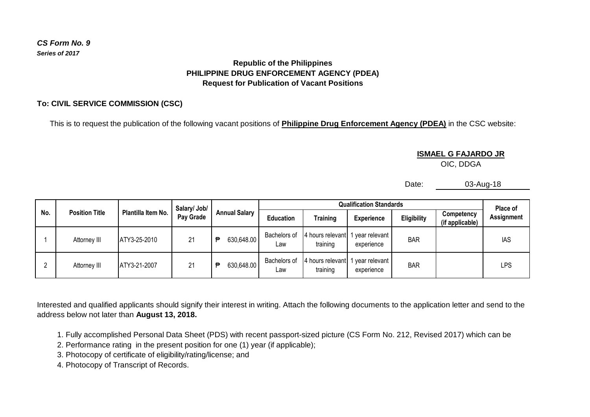### *CS Form No. 9 Series of 2017*

## **Republic of the Philippines PHILIPPINE DRUG ENFORCEMENT AGENCY (PDEA) Request for Publication of Vacant Positions**

## **To: CIVIL SERVICE COMMISSION (CSC)**

This is to request the publication of the following vacant positions of **Philippine Drug Enforcement Agency (PDEA)** in the CSC website:

#### **ISMAEL G FAJARDO JR**

OIC, DDGA

Date: 03-Aug-18

| No. | <b>Position Title</b> | Plantilla Item No. | Salary/ Job/<br>Pay Grade | <b>Annual Salary</b> | <b>Qualification Standards</b> |                                |                               |                    |                               | Place of   |
|-----|-----------------------|--------------------|---------------------------|----------------------|--------------------------------|--------------------------------|-------------------------------|--------------------|-------------------------------|------------|
|     |                       |                    |                           |                      | <b>Education</b>               | Training                       | <b>Experience</b>             | <b>Eligibility</b> | Competency<br>(if applicable) | Assignment |
|     | Attorney III          | ATY3-25-2010       | 21                        | 630,648.00<br>€      | Bachelors of<br>Law            | 4 hours relevant 1<br>training | 1 year relevant<br>experience | <b>BAR</b>         |                               | IAS        |
|     | Attorney III          | ATY3-21-2007       | 21                        | 630,648.00<br>Ð      | Bachelors of<br>Law            | 4 hours relevant 1<br>training | 1 year relevant<br>experience | <b>BAR</b>         |                               | LPS        |

Interested and qualified applicants should signify their interest in writing. Attach the following documents to the application letter and send to the address below not later than **August 13, 2018.**

- 1. Fully accomplished Personal Data Sheet (PDS) with recent passport-sized picture (CS Form No. 212, Revised 2017) which can be
- 2. Performance rating in the present position for one (1) year (if applicable);
- 3. Photocopy of certificate of eligibility/rating/license; and
- 4. Photocopy of Transcript of Records.